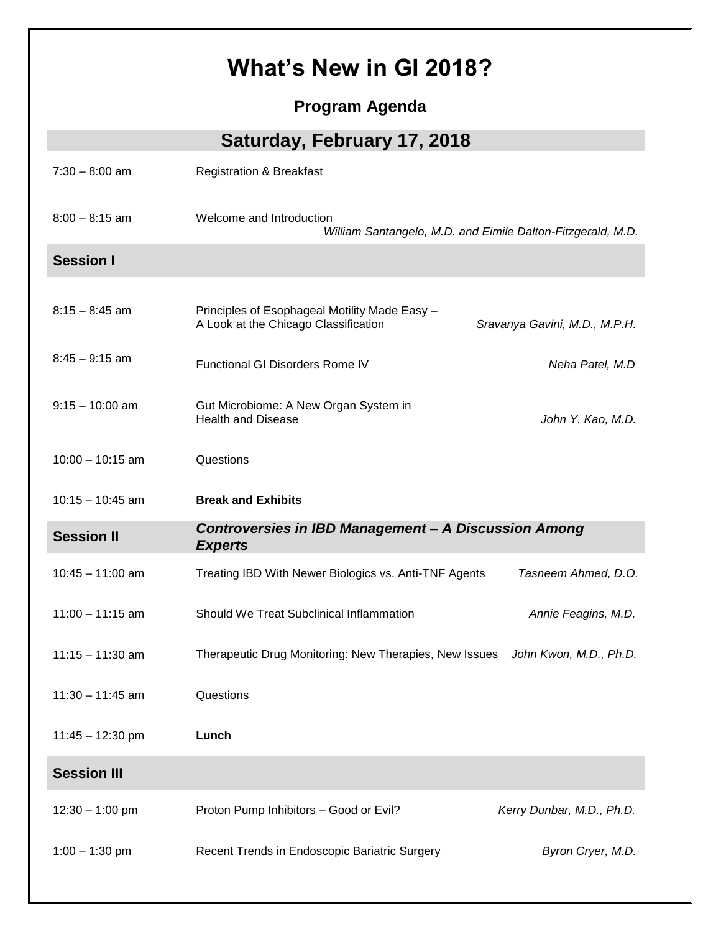## **What's New in GI 2018?**

**Program Agenda**

**Saturday, February 17, 2018**

| $7:30 - 8:00$ am   | <b>Registration &amp; Breakfast</b>                                                     |                               |
|--------------------|-----------------------------------------------------------------------------------------|-------------------------------|
| $8:00 - 8:15$ am   | Welcome and Introduction<br>William Santangelo, M.D. and Eimile Dalton-Fitzgerald, M.D. |                               |
| <b>Session I</b>   |                                                                                         |                               |
|                    |                                                                                         |                               |
| $8:15 - 8:45$ am   | Principles of Esophageal Motility Made Easy -<br>A Look at the Chicago Classification   | Sravanya Gavini, M.D., M.P.H. |
| $8:45 - 9:15$ am   | <b>Functional GI Disorders Rome IV</b>                                                  | Neha Patel, M.D               |
| $9:15 - 10:00$ am  | Gut Microbiome: A New Organ System in<br><b>Health and Disease</b>                      | John Y. Kao, M.D.             |
| $10:00 - 10:15$ am | Questions                                                                               |                               |
| $10:15 - 10:45$ am | <b>Break and Exhibits</b>                                                               |                               |
|                    |                                                                                         |                               |
| <b>Session II</b>  | <b>Controversies in IBD Management - A Discussion Among</b><br><b>Experts</b>           |                               |
| $10:45 - 11:00$ am | Treating IBD With Newer Biologics vs. Anti-TNF Agents                                   | Tasneem Ahmed, D.O.           |
| $11:00 - 11:15$ am | Should We Treat Subclinical Inflammation                                                | Annie Feagins, M.D.           |
| $11:15 - 11:30$ am | Therapeutic Drug Monitoring: New Therapies, New Issues                                  | John Kwon, M.D., Ph.D.        |
| $11:30 - 11:45$ am | Questions                                                                               |                               |
| 11:45 - 12:30 pm   | Lunch                                                                                   |                               |
| <b>Session III</b> |                                                                                         |                               |
| $12:30 - 1:00$ pm  | Proton Pump Inhibitors - Good or Evil?                                                  | Kerry Dunbar, M.D., Ph.D.     |